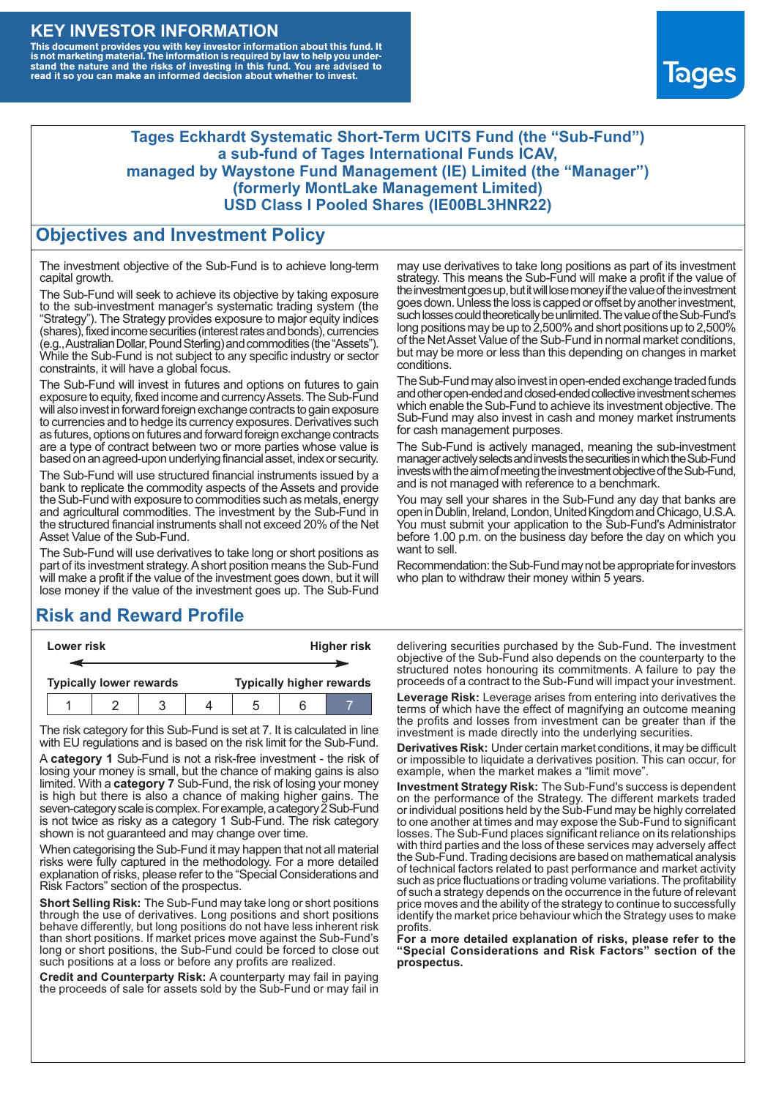### **KEY INVESTOR INFORMATION**

This document provides you with key investor information about this fund. It<br>is not marketing material. The information is required by law to help you under-<br>stand the nature and the risks of investing in this fund. You ar



#### **Tages Eckhardt Systematic Short-Term UCITS Fund (the "Sub-Fund") a sub-fund of Tages International Funds ICAV, managed by Waystone Fund Management (IE) Limited (the "Manager") (formerly MontLake Management Limited) USD Class I Pooled Shares (IE00BL3HNR22)**

### **Objectives and Investment Policy**

The investment objective of the Sub-Fund is to achieve long-term capital growth.

The Sub-Fund will seek to achieve its objective by taking exposure to the sub-investment manager's systematic trading system (the "Strategy"). The Strategy provides exposure to major equity indices (shares),fixed income securities (interest rates and bonds), currencies (e.g.,AustralianDollar,PoundSterling)and commodities (the "Assets"). While the Sub-Fund is not subject to any specific industry or sector constraints, it will have a global focus.

The Sub-Fund will invest in futures and options on futures to gain exposure to equity, fixed income and currency Assets. The Sub-Fund will also invest in forward foreign exchange contracts to gain exposure to currencies and to hedge its currency exposures. Derivatives such as futures, options on futures and forward foreign exchange contracts are a type of contract between two or more parties whose value is based on an agreed-upon underlying financial asset, index or security.

The Sub-Fund will use structured financial instruments issued by a bank to replicate the commodity aspects of the Assets and provide the Sub-Fund with exposure to commodities such as metals, energy and agricultural commodities. The investment by the Sub-Fund in the structured financial instruments shall not exceed 20% of the Net Asset Value of the Sub-Fund.

The Sub-Fund will use derivatives to take long or short positions as part of its investment strategy.A short position means the Sub-Fund will make a profit if the value of the investment goes down, but it will lose money if the value of the investment goes up. The Sub-Fund

# **Risk and Reward Profile**

| Lower risk                     |  |  |  | <b>Higher risk</b>              |  |  |
|--------------------------------|--|--|--|---------------------------------|--|--|
|                                |  |  |  |                                 |  |  |
| <b>Typically lower rewards</b> |  |  |  | <b>Typically higher rewards</b> |  |  |
|                                |  |  |  | :5                              |  |  |

The risk category for this Sub-Fund is set at 7. It is calculated in line with EU regulations and is based on the risk limit for the Sub-Fund.

A **category 1** Sub-Fund is not a risk-free investment - the risk of losing your money is small, but the chance of making gains is also limited. With a **category 7** Sub-Fund, the risk of losing your money is high but there is also a chance of making higher gains. The seven-category scale is complex. For example, a category 2 Sub-Fund is not twice as risky as a category 1 Sub-Fund. The risk category shown is not guaranteed and may change over time.

When categorising the Sub-Fund it may happen that not all material risks were fully captured in the methodology. For a more detailed explanation of risks, please refer to the "Special Considerations and Risk Factors" section of the prospectus.

**Short Selling Risk:** The Sub-Fund may take long or short positions through the use of derivatives. Long positions and short positions behave differently, but long positions do not have less inherent risk than short positions. If market prices move against the Sub-Fund's long or short positions, the Sub-Fund could be forced to close out such positions at a loss or before any profits are realized.

**Credit and Counterparty Risk:** A counterparty may fail in paying the proceeds of sale for assets sold by the Sub-Fund or may fail in may use derivatives to take long positions as part of its investment strategy. This means the Sub-Fund will make a profit if the value of the investment goes up, but it will lose money if the value of the investment goes down. Unless the loss is capped or offset by another investment, such losses could theoretically be unlimited. The value of the Sub-Fund's long positions may be up to 2,500% and short positions up to 2,500% of the NetAsset Value of the Sub-Fund in normal market conditions, but may be more or less than this depending on changes in market conditions.

The Sub-Fund may also invest in open-ended exchange traded funds and other open-ended and closed-ended collective investment schemes which enable the Sub-Fund to achieve its investment objective. The Sub-Fund may also invest in cash and money market instruments for cash management purposes.

The Sub-Fund is actively managed, meaning the sub-investment manager actively selects and invests the securities in which the Sub-Fund invests with the aim of meeting the investment objective of the Sub-Fund, and is not managed with reference to a benchmark.

You may sell your shares in the Sub-Fund any day that banks are open in Dublin, Ireland, London, United Kingdom and Chicago, U.S.A. You must submit your application to the Sub-Fund's Administrator before 1.00 p.m. on the business day before the day on which you want to sell.

Recommendation: the Sub-Fund may not be appropriate for investors who plan to withdraw their money within 5 years.

delivering securities purchased by the Sub-Fund. The investment objective of the Sub-Fund also depends on the counterparty to the structured notes honouring its commitments. A failure to pay the proceeds of a contract to the Sub-Fund will impact your investment.

**Leverage Risk:** Leverage arises from entering into derivatives the terms of which have the effect of magnifying an outcome meaning the profits and losses from investment can be greater than if the investment is made directly into the underlying securities.

**Derivatives Risk:** Under certain market conditions, it may be difficult or impossible to liquidate a derivatives position. This can occur, for example, when the market makes a "limit move".

**Investment Strategy Risk:** The Sub-Fund's success is dependent on the performance of the Strategy. The different markets traded or individual positions held by the Sub-Fund may be highly correlated to one another at times and may expose the Sub-Fund to significant losses. The Sub-Fund places significant reliance on its relationships with third parties and the loss of these services may adversely affect the Sub-Fund. Trading decisions are based on mathematical analysis of technical factors related to past performance and market activity such as price fluctuations or trading volume variations. The profitability of such a strategy depends on the occurrence in the future of relevant price moves and the ability of the strategy to continue to successfully identify the market price behaviour which the Strategy uses to make profits.

**For a more detailed explanation of risks, please refer to the "Special Considerations and Risk Factors" section of the prospectus.**